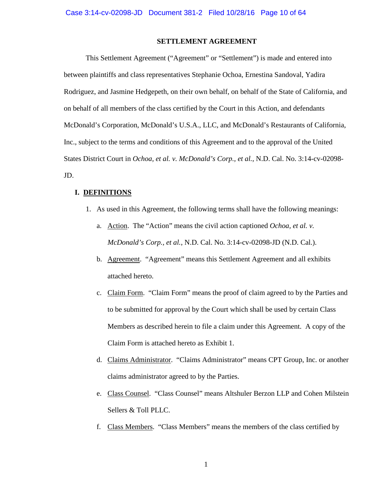### **SETTLEMENT AGREEMENT**

This Settlement Agreement ("Agreement" or "Settlement") is made and entered into between plaintiffs and class representatives Stephanie Ochoa, Ernestina Sandoval, Yadira Rodriguez, and Jasmine Hedgepeth, on their own behalf, on behalf of the State of California, and on behalf of all members of the class certified by the Court in this Action, and defendants McDonald's Corporation, McDonald's U.S.A., LLC, and McDonald's Restaurants of California, Inc., subject to the terms and conditions of this Agreement and to the approval of the United States District Court in *Ochoa, et al. v. McDonald's Corp., et al.*, N.D. Cal. No. 3:14-cv-02098- JD.

#### **I. DEFINITIONS**

- 1. As used in this Agreement, the following terms shall have the following meanings:
	- a. Action. The "Action" means the civil action captioned *Ochoa, et al. v. McDonald's Corp., et al.*, N.D. Cal. No. 3:14-cv-02098-JD (N.D. Cal.).
	- b. Agreement. "Agreement" means this Settlement Agreement and all exhibits attached hereto.
	- c. Claim Form. "Claim Form" means the proof of claim agreed to by the Parties and to be submitted for approval by the Court which shall be used by certain Class Members as described herein to file a claim under this Agreement. A copy of the Claim Form is attached hereto as Exhibit 1.
	- d. Claims Administrator. "Claims Administrator" means CPT Group, Inc. or another claims administrator agreed to by the Parties.
	- e. Class Counsel. "Class Counsel" means Altshuler Berzon LLP and Cohen Milstein Sellers & Toll PLLC.
	- f. Class Members. "Class Members" means the members of the class certified by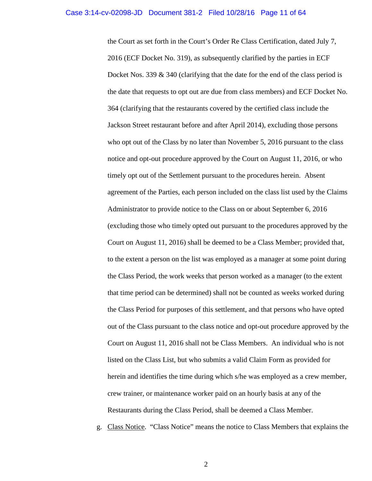the Court as set forth in the Court's Order Re Class Certification, dated July 7, 2016 (ECF Docket No. 319), as subsequently clarified by the parties in ECF Docket Nos. 339  $\&$  340 (clarifying that the date for the end of the class period is the date that requests to opt out are due from class members) and ECF Docket No. 364 (clarifying that the restaurants covered by the certified class include the Jackson Street restaurant before and after April 2014), excluding those persons who opt out of the Class by no later than November 5, 2016 pursuant to the class notice and opt-out procedure approved by the Court on August 11, 2016, or who timely opt out of the Settlement pursuant to the procedures herein. Absent agreement of the Parties, each person included on the class list used by the Claims Administrator to provide notice to the Class on or about September 6, 2016 (excluding those who timely opted out pursuant to the procedures approved by the Court on August 11, 2016) shall be deemed to be a Class Member; provided that, to the extent a person on the list was employed as a manager at some point during the Class Period, the work weeks that person worked as a manager (to the extent that time period can be determined) shall not be counted as weeks worked during the Class Period for purposes of this settlement, and that persons who have opted out of the Class pursuant to the class notice and opt-out procedure approved by the Court on August 11, 2016 shall not be Class Members. An individual who is not listed on the Class List, but who submits a valid Claim Form as provided for herein and identifies the time during which s/he was employed as a crew member, crew trainer, or maintenance worker paid on an hourly basis at any of the Restaurants during the Class Period, shall be deemed a Class Member.

g. Class Notice. "Class Notice" means the notice to Class Members that explains the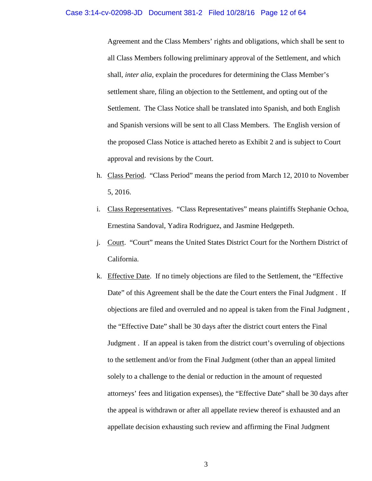#### Case 3:14-cv-02098-JD Document 381-2 Filed 10/28/16 Page 12 of 64

Agreement and the Class Members' rights and obligations, which shall be sent to all Class Members following preliminary approval of the Settlement, and which shall, *inter alia*, explain the procedures for determining the Class Member's settlement share, filing an objection to the Settlement, and opting out of the Settlement. The Class Notice shall be translated into Spanish, and both English and Spanish versions will be sent to all Class Members. The English version of the proposed Class Notice is attached hereto as Exhibit 2 and is subject to Court approval and revisions by the Court.

- h. Class Period. "Class Period" means the period from March 12, 2010 to November 5, 2016.
- i. Class Representatives. "Class Representatives" means plaintiffs Stephanie Ochoa, Ernestina Sandoval, Yadira Rodriguez, and Jasmine Hedgepeth.
- j. Court. "Court" means the United States District Court for the Northern District of California.
- k. Effective Date. If no timely objections are filed to the Settlement, the "Effective Date" of this Agreement shall be the date the Court enters the Final Judgment. If objections are filed and overruled and no appeal is taken from the Final Judgment , the "Effective Date" shall be 30 days after the district court enters the Final Judgment . If an appeal is taken from the district court's overruling of objections to the settlement and/or from the Final Judgment (other than an appeal limited solely to a challenge to the denial or reduction in the amount of requested attorneys' fees and litigation expenses), the "Effective Date" shall be 30 days after the appeal is withdrawn or after all appellate review thereof is exhausted and an appellate decision exhausting such review and affirming the Final Judgment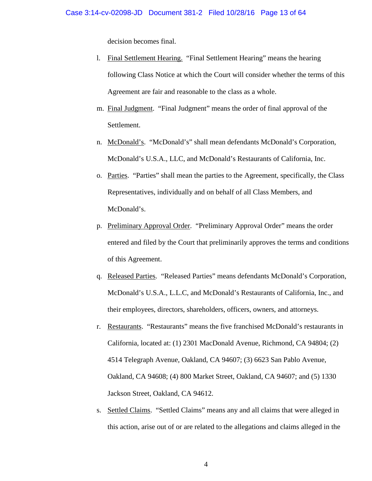decision becomes final.

- l. Final Settlement Hearing. "Final Settlement Hearing" means the hearing following Class Notice at which the Court will consider whether the terms of this Agreement are fair and reasonable to the class as a whole.
- m. Final Judgment. "Final Judgment" means the order of final approval of the Settlement.
- n. McDonald's. "McDonald's" shall mean defendants McDonald's Corporation, McDonald's U.S.A., LLC, and McDonald's Restaurants of California, Inc.
- o. Parties. "Parties" shall mean the parties to the Agreement, specifically, the Class Representatives, individually and on behalf of all Class Members, and McDonald's.
- p. Preliminary Approval Order. "Preliminary Approval Order" means the order entered and filed by the Court that preliminarily approves the terms and conditions of this Agreement.
- q. Released Parties. "Released Parties" means defendants McDonald's Corporation, McDonald's U.S.A., L.L.C, and McDonald's Restaurants of California, Inc., and their employees, directors, shareholders, officers, owners, and attorneys.
- r. Restaurants. "Restaurants" means the five franchised McDonald's restaurants in California, located at: (1) 2301 MacDonald Avenue, Richmond, CA 94804; (2) 4514 Telegraph Avenue, Oakland, CA 94607; (3) 6623 San Pablo Avenue, Oakland, CA 94608; (4) 800 Market Street, Oakland, CA 94607; and (5) 1330 Jackson Street, Oakland, CA 94612.
- s. Settled Claims. "Settled Claims" means any and all claims that were alleged in this action, arise out of or are related to the allegations and claims alleged in the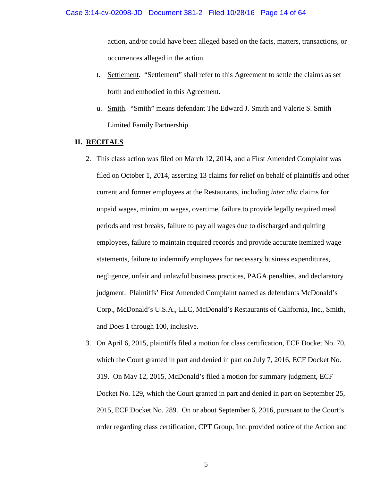action, and/or could have been alleged based on the facts, matters, transactions, or occurrences alleged in the action.

- t. Settlement. "Settlement" shall refer to this Agreement to settle the claims as set forth and embodied in this Agreement.
- u. Smith. "Smith" means defendant The Edward J. Smith and Valerie S. Smith Limited Family Partnership.

## **II. RECITALS**

- 2. This class action was filed on March 12, 2014, and a First Amended Complaint was filed on October 1, 2014, asserting 13 claims for relief on behalf of plaintiffs and other current and former employees at the Restaurants, including *inter alia* claims for unpaid wages, minimum wages, overtime, failure to provide legally required meal periods and rest breaks, failure to pay all wages due to discharged and quitting employees, failure to maintain required records and provide accurate itemized wage statements, failure to indemnify employees for necessary business expenditures, negligence, unfair and unlawful business practices, PAGA penalties, and declaratory judgment. Plaintiffs' First Amended Complaint named as defendants McDonald's Corp., McDonald's U.S.A., LLC, McDonald's Restaurants of California, Inc., Smith, and Does 1 through 100, inclusive.
- 3. On April 6, 2015, plaintiffs filed a motion for class certification, ECF Docket No. 70, which the Court granted in part and denied in part on July 7, 2016, ECF Docket No. 319. On May 12, 2015, McDonald's filed a motion for summary judgment, ECF Docket No. 129, which the Court granted in part and denied in part on September 25, 2015, ECF Docket No. 289. On or about September 6, 2016, pursuant to the Court's order regarding class certification, CPT Group, Inc. provided notice of the Action and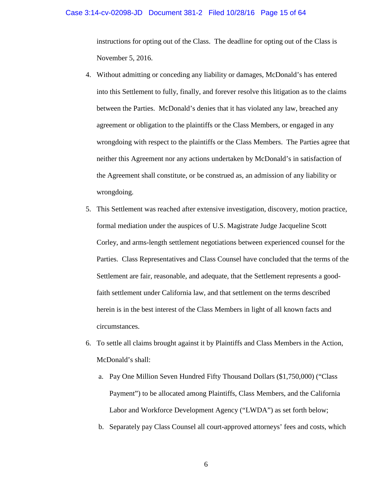#### Case 3:14-cv-02098-JD Document 381-2 Filed 10/28/16 Page 15 of 64

instructions for opting out of the Class. The deadline for opting out of the Class is November 5, 2016.

- 4. Without admitting or conceding any liability or damages, McDonald's has entered into this Settlement to fully, finally, and forever resolve this litigation as to the claims between the Parties. McDonald's denies that it has violated any law, breached any agreement or obligation to the plaintiffs or the Class Members, or engaged in any wrongdoing with respect to the plaintiffs or the Class Members. The Parties agree that neither this Agreement nor any actions undertaken by McDonald's in satisfaction of the Agreement shall constitute, or be construed as, an admission of any liability or wrongdoing.
- 5. This Settlement was reached after extensive investigation, discovery, motion practice, formal mediation under the auspices of U.S. Magistrate Judge Jacqueline Scott Corley, and arms-length settlement negotiations between experienced counsel for the Parties. Class Representatives and Class Counsel have concluded that the terms of the Settlement are fair, reasonable, and adequate, that the Settlement represents a goodfaith settlement under California law, and that settlement on the terms described herein is in the best interest of the Class Members in light of all known facts and circumstances.
- 6. To settle all claims brought against it by Plaintiffs and Class Members in the Action, McDonald's shall:
	- a. Pay One Million Seven Hundred Fifty Thousand Dollars (\$1,750,000) ("Class Payment") to be allocated among Plaintiffs, Class Members, and the California Labor and Workforce Development Agency ("LWDA") as set forth below;
	- b. Separately pay Class Counsel all court-approved attorneys' fees and costs, which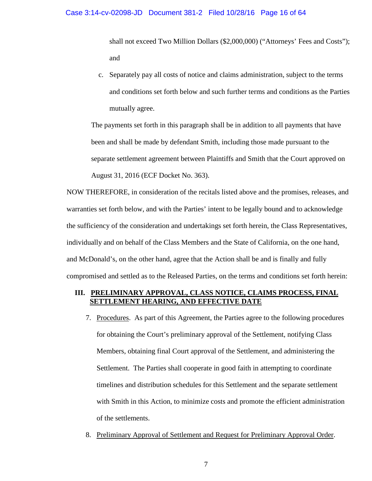shall not exceed Two Million Dollars (\$2,000,000) ("Attorneys' Fees and Costs"); and

c. Separately pay all costs of notice and claims administration, subject to the terms and conditions set forth below and such further terms and conditions as the Parties mutually agree.

The payments set forth in this paragraph shall be in addition to all payments that have been and shall be made by defendant Smith, including those made pursuant to the separate settlement agreement between Plaintiffs and Smith that the Court approved on August 31, 2016 (ECF Docket No. 363).

NOW THEREFORE, in consideration of the recitals listed above and the promises, releases, and warranties set forth below, and with the Parties' intent to be legally bound and to acknowledge the sufficiency of the consideration and undertakings set forth herein, the Class Representatives, individually and on behalf of the Class Members and the State of California, on the one hand, and McDonald's, on the other hand, agree that the Action shall be and is finally and fully compromised and settled as to the Released Parties, on the terms and conditions set forth herein:

## **III. PRELIMINARY APPROVAL, CLASS NOTICE, CLAIMS PROCESS, FINAL SETTLEMENT HEARING, AND EFFECTIVE DATE**

- 7. Procedures. As part of this Agreement, the Parties agree to the following procedures for obtaining the Court's preliminary approval of the Settlement, notifying Class Members, obtaining final Court approval of the Settlement, and administering the Settlement. The Parties shall cooperate in good faith in attempting to coordinate timelines and distribution schedules for this Settlement and the separate settlement with Smith in this Action, to minimize costs and promote the efficient administration of the settlements.
- 8. Preliminary Approval of Settlement and Request for Preliminary Approval Order.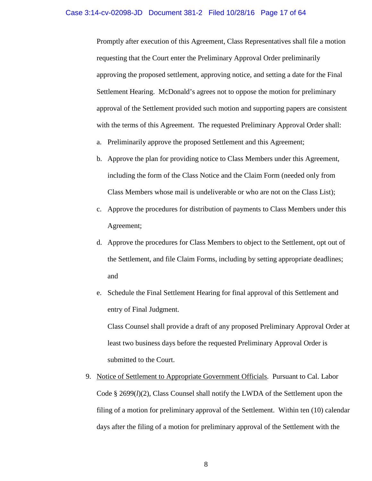Promptly after execution of this Agreement, Class Representatives shall file a motion requesting that the Court enter the Preliminary Approval Order preliminarily approving the proposed settlement, approving notice, and setting a date for the Final Settlement Hearing. McDonald's agrees not to oppose the motion for preliminary approval of the Settlement provided such motion and supporting papers are consistent with the terms of this Agreement. The requested Preliminary Approval Order shall:

- a. Preliminarily approve the proposed Settlement and this Agreement;
- b. Approve the plan for providing notice to Class Members under this Agreement, including the form of the Class Notice and the Claim Form (needed only from Class Members whose mail is undeliverable or who are not on the Class List);
- c. Approve the procedures for distribution of payments to Class Members under this Agreement;
- d. Approve the procedures for Class Members to object to the Settlement, opt out of the Settlement, and file Claim Forms, including by setting appropriate deadlines; and
- e. Schedule the Final Settlement Hearing for final approval of this Settlement and entry of Final Judgment.

Class Counsel shall provide a draft of any proposed Preliminary Approval Order at least two business days before the requested Preliminary Approval Order is submitted to the Court.

9. Notice of Settlement to Appropriate Government Officials. Pursuant to Cal. Labor Code § 2699(*l*)(2), Class Counsel shall notify the LWDA of the Settlement upon the filing of a motion for preliminary approval of the Settlement. Within ten (10) calendar days after the filing of a motion for preliminary approval of the Settlement with the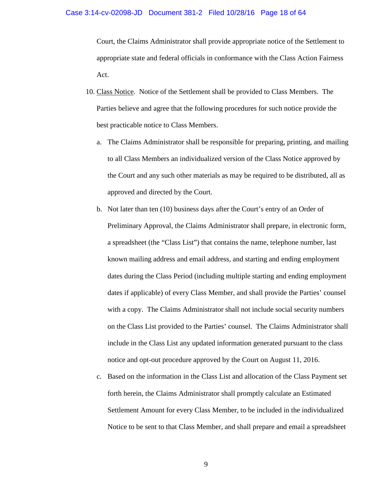#### Case 3:14-cv-02098-JD Document 381-2 Filed 10/28/16 Page 18 of 64

Court, the Claims Administrator shall provide appropriate notice of the Settlement to appropriate state and federal officials in conformance with the Class Action Fairness Act.

- 10. Class Notice. Notice of the Settlement shall be provided to Class Members. The Parties believe and agree that the following procedures for such notice provide the best practicable notice to Class Members.
	- a. The Claims Administrator shall be responsible for preparing, printing, and mailing to all Class Members an individualized version of the Class Notice approved by the Court and any such other materials as may be required to be distributed, all as approved and directed by the Court.
	- b. Not later than ten (10) business days after the Court's entry of an Order of Preliminary Approval, the Claims Administrator shall prepare, in electronic form, a spreadsheet (the "Class List") that contains the name, telephone number, last known mailing address and email address, and starting and ending employment dates during the Class Period (including multiple starting and ending employment dates if applicable) of every Class Member, and shall provide the Parties' counsel with a copy. The Claims Administrator shall not include social security numbers on the Class List provided to the Parties' counsel. The Claims Administrator shall include in the Class List any updated information generated pursuant to the class notice and opt-out procedure approved by the Court on August 11, 2016.
	- c. Based on the information in the Class List and allocation of the Class Payment set forth herein, the Claims Administrator shall promptly calculate an Estimated Settlement Amount for every Class Member, to be included in the individualized Notice to be sent to that Class Member, and shall prepare and email a spreadsheet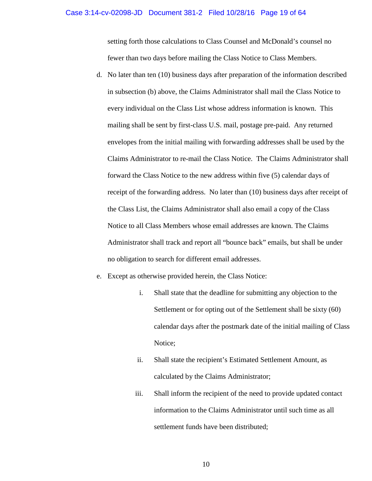#### Case 3:14-cv-02098-JD Document 381-2 Filed 10/28/16 Page 19 of 64

setting forth those calculations to Class Counsel and McDonald's counsel no fewer than two days before mailing the Class Notice to Class Members.

- d. No later than ten (10) business days after preparation of the information described in subsection (b) above, the Claims Administrator shall mail the Class Notice to every individual on the Class List whose address information is known. This mailing shall be sent by first-class U.S. mail, postage pre-paid. Any returned envelopes from the initial mailing with forwarding addresses shall be used by the Claims Administrator to re-mail the Class Notice. The Claims Administrator shall forward the Class Notice to the new address within five (5) calendar days of receipt of the forwarding address. No later than (10) business days after receipt of the Class List, the Claims Administrator shall also email a copy of the Class Notice to all Class Members whose email addresses are known. The Claims Administrator shall track and report all "bounce back" emails, but shall be under no obligation to search for different email addresses.
- e. Except as otherwise provided herein, the Class Notice:
	- i. Shall state that the deadline for submitting any objection to the Settlement or for opting out of the Settlement shall be sixty (60) calendar days after the postmark date of the initial mailing of Class Notice;
	- ii. Shall state the recipient's Estimated Settlement Amount, as calculated by the Claims Administrator;
	- iii. Shall inform the recipient of the need to provide updated contact information to the Claims Administrator until such time as all settlement funds have been distributed;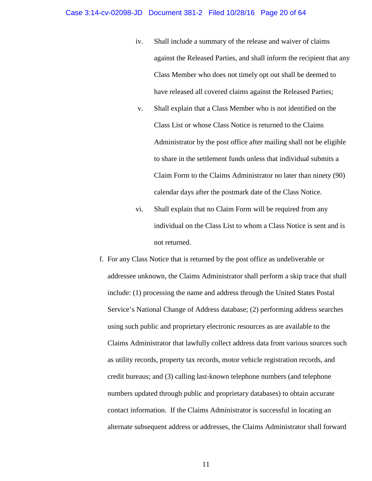#### Case 3:14-cv-02098-JD Document 381-2 Filed 10/28/16 Page 20 of 64

- iv. Shall include a summary of the release and waiver of claims against the Released Parties, and shall inform the recipient that any Class Member who does not timely opt out shall be deemed to have released all covered claims against the Released Parties;
- v. Shall explain that a Class Member who is not identified on the Class List or whose Class Notice is returned to the Claims Administrator by the post office after mailing shall not be eligible to share in the settlement funds unless that individual submits a Claim Form to the Claims Administrator no later than ninety (90) calendar days after the postmark date of the Class Notice.
- vi. Shall explain that no Claim Form will be required from any individual on the Class List to whom a Class Notice is sent and is not returned.
- f. For any Class Notice that is returned by the post office as undeliverable or addressee unknown, the Claims Administrator shall perform a skip trace that shall include: (1) processing the name and address through the United States Postal Service's National Change of Address database; (2) performing address searches using such public and proprietary electronic resources as are available to the Claims Administrator that lawfully collect address data from various sources such as utility records, property tax records, motor vehicle registration records, and credit bureaus; and (3) calling last-known telephone numbers (and telephone numbers updated through public and proprietary databases) to obtain accurate contact information. If the Claims Administrator is successful in locating an alternate subsequent address or addresses, the Claims Administrator shall forward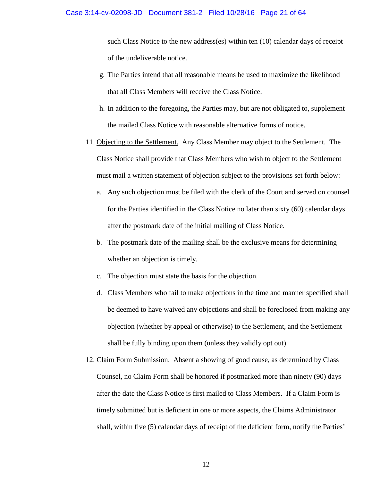such Class Notice to the new address(es) within ten (10) calendar days of receipt of the undeliverable notice.

- g. The Parties intend that all reasonable means be used to maximize the likelihood that all Class Members will receive the Class Notice.
- h. In addition to the foregoing, the Parties may, but are not obligated to, supplement the mailed Class Notice with reasonable alternative forms of notice.
- 11. Objecting to the Settlement. Any Class Member may object to the Settlement. The Class Notice shall provide that Class Members who wish to object to the Settlement must mail a written statement of objection subject to the provisions set forth below:
	- a. Any such objection must be filed with the clerk of the Court and served on counsel for the Parties identified in the Class Notice no later than sixty (60) calendar days after the postmark date of the initial mailing of Class Notice.
	- b. The postmark date of the mailing shall be the exclusive means for determining whether an objection is timely.
	- c. The objection must state the basis for the objection.
	- d. Class Members who fail to make objections in the time and manner specified shall be deemed to have waived any objections and shall be foreclosed from making any objection (whether by appeal or otherwise) to the Settlement, and the Settlement shall be fully binding upon them (unless they validly opt out).
- 12. Claim Form Submission. Absent a showing of good cause, as determined by Class Counsel, no Claim Form shall be honored if postmarked more than ninety (90) days after the date the Class Notice is first mailed to Class Members. If a Claim Form is timely submitted but is deficient in one or more aspects, the Claims Administrator shall, within five (5) calendar days of receipt of the deficient form, notify the Parties'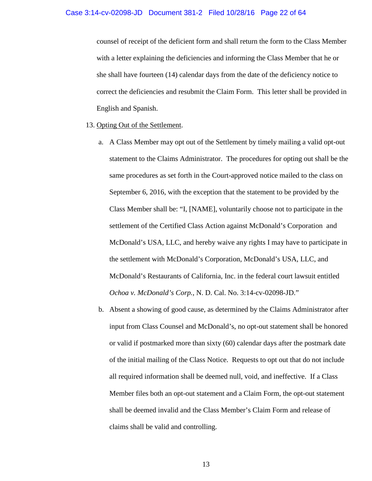counsel of receipt of the deficient form and shall return the form to the Class Member with a letter explaining the deficiencies and informing the Class Member that he or she shall have fourteen (14) calendar days from the date of the deficiency notice to correct the deficiencies and resubmit the Claim Form. This letter shall be provided in English and Spanish.

#### 13. Opting Out of the Settlement.

- a. A Class Member may opt out of the Settlement by timely mailing a valid opt-out statement to the Claims Administrator. The procedures for opting out shall be the same procedures as set forth in the Court-approved notice mailed to the class on September 6, 2016, with the exception that the statement to be provided by the Class Member shall be: "I, [NAME], voluntarily choose not to participate in the settlement of the Certified Class Action against McDonald's Corporation and McDonald's USA, LLC, and hereby waive any rights I may have to participate in the settlement with McDonald's Corporation, McDonald's USA, LLC, and McDonald's Restaurants of California, Inc. in the federal court lawsuit entitled *Ochoa v. McDonald's Corp.*, N. D. Cal. No. 3:14-cv-02098-JD."
- b. Absent a showing of good cause, as determined by the Claims Administrator after input from Class Counsel and McDonald's, no opt-out statement shall be honored or valid if postmarked more than sixty (60) calendar days after the postmark date of the initial mailing of the Class Notice. Requests to opt out that do not include all required information shall be deemed null, void, and ineffective. If a Class Member files both an opt-out statement and a Claim Form, the opt-out statement shall be deemed invalid and the Class Member's Claim Form and release of claims shall be valid and controlling.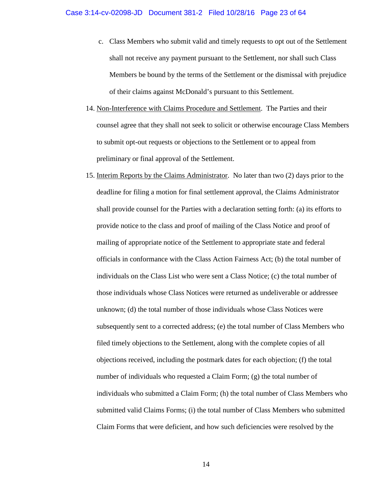- c. Class Members who submit valid and timely requests to opt out of the Settlement shall not receive any payment pursuant to the Settlement, nor shall such Class Members be bound by the terms of the Settlement or the dismissal with prejudice of their claims against McDonald's pursuant to this Settlement.
- 14. Non-Interference with Claims Procedure and Settlement. The Parties and their counsel agree that they shall not seek to solicit or otherwise encourage Class Members to submit opt-out requests or objections to the Settlement or to appeal from preliminary or final approval of the Settlement.
- 15. Interim Reports by the Claims Administrator. No later than two (2) days prior to the deadline for filing a motion for final settlement approval, the Claims Administrator shall provide counsel for the Parties with a declaration setting forth: (a) its efforts to provide notice to the class and proof of mailing of the Class Notice and proof of mailing of appropriate notice of the Settlement to appropriate state and federal officials in conformance with the Class Action Fairness Act; (b) the total number of individuals on the Class List who were sent a Class Notice; (c) the total number of those individuals whose Class Notices were returned as undeliverable or addressee unknown; (d) the total number of those individuals whose Class Notices were subsequently sent to a corrected address; (e) the total number of Class Members who filed timely objections to the Settlement, along with the complete copies of all objections received, including the postmark dates for each objection; (f) the total number of individuals who requested a Claim Form; (g) the total number of individuals who submitted a Claim Form; (h) the total number of Class Members who submitted valid Claims Forms; (i) the total number of Class Members who submitted Claim Forms that were deficient, and how such deficiencies were resolved by the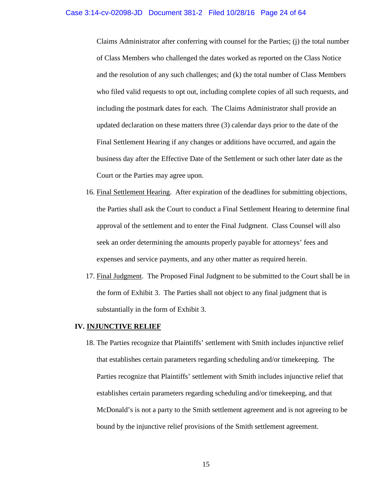Claims Administrator after conferring with counsel for the Parties; (j) the total number of Class Members who challenged the dates worked as reported on the Class Notice and the resolution of any such challenges; and (k) the total number of Class Members who filed valid requests to opt out, including complete copies of all such requests, and including the postmark dates for each. The Claims Administrator shall provide an updated declaration on these matters three (3) calendar days prior to the date of the Final Settlement Hearing if any changes or additions have occurred, and again the business day after the Effective Date of the Settlement or such other later date as the Court or the Parties may agree upon.

- 16. Final Settlement Hearing. After expiration of the deadlines for submitting objections, the Parties shall ask the Court to conduct a Final Settlement Hearing to determine final approval of the settlement and to enter the Final Judgment. Class Counsel will also seek an order determining the amounts properly payable for attorneys' fees and expenses and service payments, and any other matter as required herein.
- 17. Final Judgment. The Proposed Final Judgment to be submitted to the Court shall be in the form of Exhibit 3. The Parties shall not object to any final judgment that is substantially in the form of Exhibit 3.

#### **IV. INJUNCTIVE RELIEF**

18. The Parties recognize that Plaintiffs' settlement with Smith includes injunctive relief that establishes certain parameters regarding scheduling and/or timekeeping. The Parties recognize that Plaintiffs' settlement with Smith includes injunctive relief that establishes certain parameters regarding scheduling and/or timekeeping, and that McDonald's is not a party to the Smith settlement agreement and is not agreeing to be bound by the injunctive relief provisions of the Smith settlement agreement.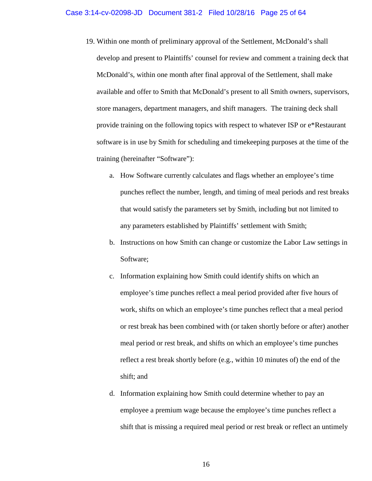- 19. Within one month of preliminary approval of the Settlement, McDonald's shall develop and present to Plaintiffs' counsel for review and comment a training deck that McDonald's, within one month after final approval of the Settlement, shall make available and offer to Smith that McDonald's present to all Smith owners, supervisors, store managers, department managers, and shift managers. The training deck shall provide training on the following topics with respect to whatever ISP or e\*Restaurant software is in use by Smith for scheduling and timekeeping purposes at the time of the training (hereinafter "Software"):
	- a. How Software currently calculates and flags whether an employee's time punches reflect the number, length, and timing of meal periods and rest breaks that would satisfy the parameters set by Smith, including but not limited to any parameters established by Plaintiffs' settlement with Smith;
	- b. Instructions on how Smith can change or customize the Labor Law settings in Software;
	- c. Information explaining how Smith could identify shifts on which an employee's time punches reflect a meal period provided after five hours of work, shifts on which an employee's time punches reflect that a meal period or rest break has been combined with (or taken shortly before or after) another meal period or rest break, and shifts on which an employee's time punches reflect a rest break shortly before (e.g., within 10 minutes of) the end of the shift; and
	- d. Information explaining how Smith could determine whether to pay an employee a premium wage because the employee's time punches reflect a shift that is missing a required meal period or rest break or reflect an untimely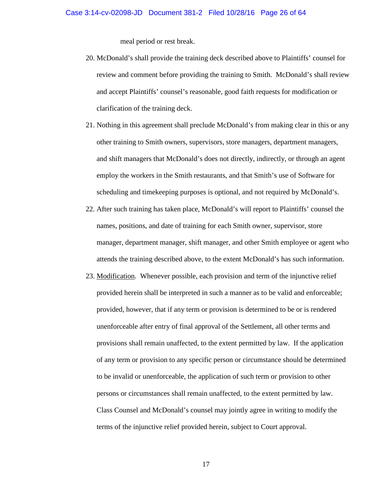meal period or rest break.

- 20. McDonald's shall provide the training deck described above to Plaintiffs' counsel for review and comment before providing the training to Smith. McDonald's shall review and accept Plaintiffs' counsel's reasonable, good faith requests for modification or clarification of the training deck.
- 21. Nothing in this agreement shall preclude McDonald's from making clear in this or any other training to Smith owners, supervisors, store managers, department managers, and shift managers that McDonald's does not directly, indirectly, or through an agent employ the workers in the Smith restaurants, and that Smith's use of Software for scheduling and timekeeping purposes is optional, and not required by McDonald's.
- 22. After such training has taken place, McDonald's will report to Plaintiffs' counsel the names, positions, and date of training for each Smith owner, supervisor, store manager, department manager, shift manager, and other Smith employee or agent who attends the training described above, to the extent McDonald's has such information.
- 23. Modification. Whenever possible, each provision and term of the injunctive relief provided herein shall be interpreted in such a manner as to be valid and enforceable; provided, however, that if any term or provision is determined to be or is rendered unenforceable after entry of final approval of the Settlement, all other terms and provisions shall remain unaffected, to the extent permitted by law. If the application of any term or provision to any specific person or circumstance should be determined to be invalid or unenforceable, the application of such term or provision to other persons or circumstances shall remain unaffected, to the extent permitted by law. Class Counsel and McDonald's counsel may jointly agree in writing to modify the terms of the injunctive relief provided herein, subject to Court approval.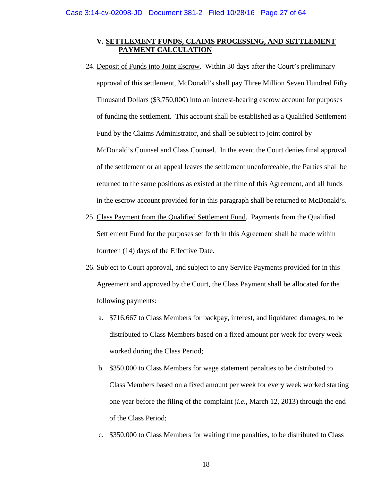### **V. SETTLEMENT FUNDS, CLAIMS PROCESSING, AND SETTLEMENT PAYMENT CALCULATION**

- 24. Deposit of Funds into Joint Escrow. Within 30 days after the Court's preliminary approval of this settlement, McDonald's shall pay Three Million Seven Hundred Fifty Thousand Dollars (\$3,750,000) into an interest-bearing escrow account for purposes of funding the settlement. This account shall be established as a Qualified Settlement Fund by the Claims Administrator, and shall be subject to joint control by McDonald's Counsel and Class Counsel. In the event the Court denies final approval of the settlement or an appeal leaves the settlement unenforceable, the Parties shall be returned to the same positions as existed at the time of this Agreement, and all funds in the escrow account provided for in this paragraph shall be returned to McDonald's.
- 25. Class Payment from the Qualified Settlement Fund. Payments from the Qualified Settlement Fund for the purposes set forth in this Agreement shall be made within fourteen (14) days of the Effective Date.
- 26. Subject to Court approval, and subject to any Service Payments provided for in this Agreement and approved by the Court, the Class Payment shall be allocated for the following payments:
	- a. \$716,667 to Class Members for backpay, interest, and liquidated damages, to be distributed to Class Members based on a fixed amount per week for every week worked during the Class Period;
	- b. \$350,000 to Class Members for wage statement penalties to be distributed to Class Members based on a fixed amount per week for every week worked starting one year before the filing of the complaint (*i.e*., March 12, 2013) through the end of the Class Period;
	- c. \$350,000 to Class Members for waiting time penalties, to be distributed to Class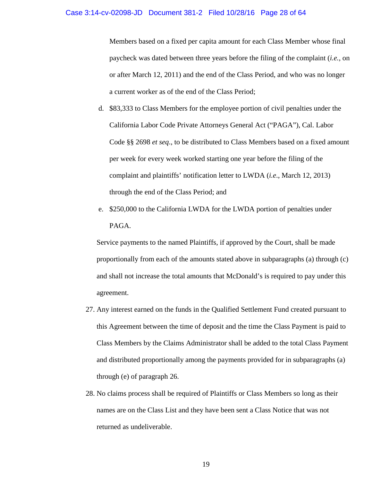#### Case 3:14-cv-02098-JD Document 381-2 Filed 10/28/16 Page 28 of 64

Members based on a fixed per capita amount for each Class Member whose final paycheck was dated between three years before the filing of the complaint (*i.e.,* on or after March 12, 2011) and the end of the Class Period, and who was no longer a current worker as of the end of the Class Period;

- d. \$83,333 to Class Members for the employee portion of civil penalties under the California Labor Code Private Attorneys General Act ("PAGA"), Cal. Labor Code §§ 2698 *et seq*., to be distributed to Class Members based on a fixed amount per week for every week worked starting one year before the filing of the complaint and plaintiffs' notification letter to LWDA (*i.e*., March 12, 2013) through the end of the Class Period; and
- e. \$250,000 to the California LWDA for the LWDA portion of penalties under PAGA.

Service payments to the named Plaintiffs, if approved by the Court, shall be made proportionally from each of the amounts stated above in subparagraphs (a) through (c) and shall not increase the total amounts that McDonald's is required to pay under this agreement.

- 27. Any interest earned on the funds in the Qualified Settlement Fund created pursuant to this Agreement between the time of deposit and the time the Class Payment is paid to Class Members by the Claims Administrator shall be added to the total Class Payment and distributed proportionally among the payments provided for in subparagraphs (a) through (e) of paragraph 26.
- 28. No claims process shall be required of Plaintiffs or Class Members so long as their names are on the Class List and they have been sent a Class Notice that was not returned as undeliverable.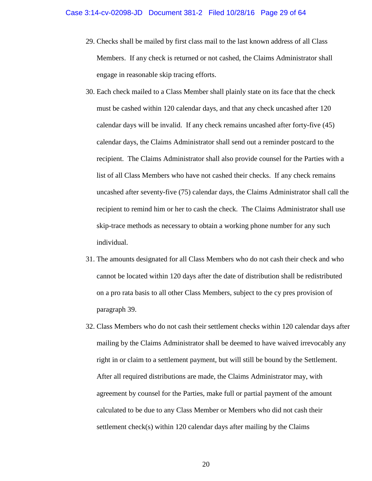- 29. Checks shall be mailed by first class mail to the last known address of all Class Members. If any check is returned or not cashed, the Claims Administrator shall engage in reasonable skip tracing efforts.
- 30. Each check mailed to a Class Member shall plainly state on its face that the check must be cashed within 120 calendar days, and that any check uncashed after 120 calendar days will be invalid. If any check remains uncashed after forty-five (45) calendar days, the Claims Administrator shall send out a reminder postcard to the recipient. The Claims Administrator shall also provide counsel for the Parties with a list of all Class Members who have not cashed their checks. If any check remains uncashed after seventy-five (75) calendar days, the Claims Administrator shall call the recipient to remind him or her to cash the check. The Claims Administrator shall use skip-trace methods as necessary to obtain a working phone number for any such individual.
- 31. The amounts designated for all Class Members who do not cash their check and who cannot be located within 120 days after the date of distribution shall be redistributed on a pro rata basis to all other Class Members, subject to the cy pres provision of paragraph 39.
- 32. Class Members who do not cash their settlement checks within 120 calendar days after mailing by the Claims Administrator shall be deemed to have waived irrevocably any right in or claim to a settlement payment, but will still be bound by the Settlement. After all required distributions are made, the Claims Administrator may, with agreement by counsel for the Parties, make full or partial payment of the amount calculated to be due to any Class Member or Members who did not cash their settlement check(s) within 120 calendar days after mailing by the Claims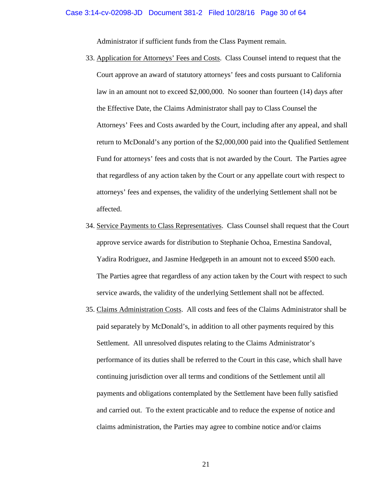Administrator if sufficient funds from the Class Payment remain.

- 33. Application for Attorneys' Fees and Costs. Class Counsel intend to request that the Court approve an award of statutory attorneys' fees and costs pursuant to California law in an amount not to exceed \$2,000,000. No sooner than fourteen (14) days after the Effective Date, the Claims Administrator shall pay to Class Counsel the Attorneys' Fees and Costs awarded by the Court, including after any appeal, and shall return to McDonald's any portion of the \$2,000,000 paid into the Qualified Settlement Fund for attorneys' fees and costs that is not awarded by the Court. The Parties agree that regardless of any action taken by the Court or any appellate court with respect to attorneys' fees and expenses, the validity of the underlying Settlement shall not be affected.
- 34. Service Payments to Class Representatives. Class Counsel shall request that the Court approve service awards for distribution to Stephanie Ochoa, Ernestina Sandoval, Yadira Rodriguez, and Jasmine Hedgepeth in an amount not to exceed \$500 each. The Parties agree that regardless of any action taken by the Court with respect to such service awards, the validity of the underlying Settlement shall not be affected.
- 35. Claims Administration Costs. All costs and fees of the Claims Administrator shall be paid separately by McDonald's, in addition to all other payments required by this Settlement. All unresolved disputes relating to the Claims Administrator's performance of its duties shall be referred to the Court in this case, which shall have continuing jurisdiction over all terms and conditions of the Settlement until all payments and obligations contemplated by the Settlement have been fully satisfied and carried out. To the extent practicable and to reduce the expense of notice and claims administration, the Parties may agree to combine notice and/or claims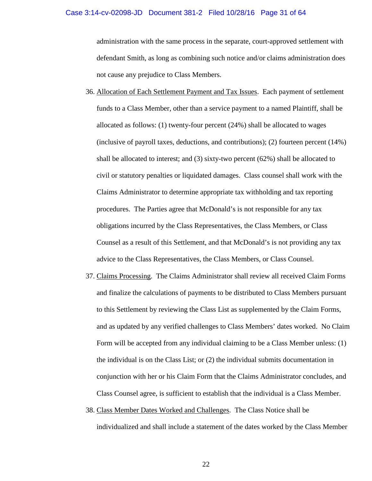#### Case 3:14-cv-02098-JD Document 381-2 Filed 10/28/16 Page 31 of 64

administration with the same process in the separate, court-approved settlement with defendant Smith, as long as combining such notice and/or claims administration does not cause any prejudice to Class Members.

- 36. Allocation of Each Settlement Payment and Tax Issues. Each payment of settlement funds to a Class Member, other than a service payment to a named Plaintiff, shall be allocated as follows: (1) twenty-four percent (24%) shall be allocated to wages (inclusive of payroll taxes, deductions, and contributions); (2) fourteen percent (14%) shall be allocated to interest; and  $(3)$  sixty-two percent  $(62%)$  shall be allocated to civil or statutory penalties or liquidated damages. Class counsel shall work with the Claims Administrator to determine appropriate tax withholding and tax reporting procedures. The Parties agree that McDonald's is not responsible for any tax obligations incurred by the Class Representatives, the Class Members, or Class Counsel as a result of this Settlement, and that McDonald's is not providing any tax advice to the Class Representatives, the Class Members, or Class Counsel.
- 37. Claims Processing. The Claims Administrator shall review all received Claim Forms and finalize the calculations of payments to be distributed to Class Members pursuant to this Settlement by reviewing the Class List as supplemented by the Claim Forms, and as updated by any verified challenges to Class Members' dates worked. No Claim Form will be accepted from any individual claiming to be a Class Member unless: (1) the individual is on the Class List; or (2) the individual submits documentation in conjunction with her or his Claim Form that the Claims Administrator concludes, and Class Counsel agree, is sufficient to establish that the individual is a Class Member.
- 38. Class Member Dates Worked and Challenges. The Class Notice shall be individualized and shall include a statement of the dates worked by the Class Member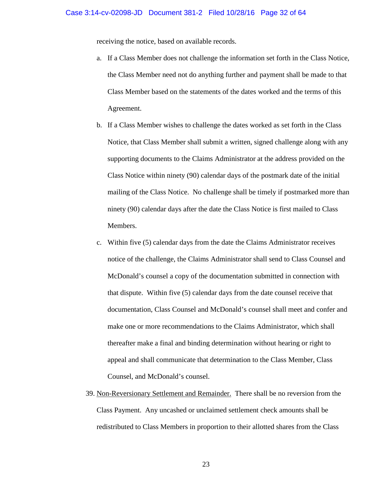receiving the notice, based on available records.

- a. If a Class Member does not challenge the information set forth in the Class Notice, the Class Member need not do anything further and payment shall be made to that Class Member based on the statements of the dates worked and the terms of this Agreement.
- b. If a Class Member wishes to challenge the dates worked as set forth in the Class Notice, that Class Member shall submit a written, signed challenge along with any supporting documents to the Claims Administrator at the address provided on the Class Notice within ninety (90) calendar days of the postmark date of the initial mailing of the Class Notice. No challenge shall be timely if postmarked more than ninety (90) calendar days after the date the Class Notice is first mailed to Class Members.
- c. Within five (5) calendar days from the date the Claims Administrator receives notice of the challenge, the Claims Administrator shall send to Class Counsel and McDonald's counsel a copy of the documentation submitted in connection with that dispute. Within five (5) calendar days from the date counsel receive that documentation, Class Counsel and McDonald's counsel shall meet and confer and make one or more recommendations to the Claims Administrator, which shall thereafter make a final and binding determination without hearing or right to appeal and shall communicate that determination to the Class Member, Class Counsel, and McDonald's counsel.
- 39. Non-Reversionary Settlement and Remainder. There shall be no reversion from the Class Payment. Any uncashed or unclaimed settlement check amounts shall be redistributed to Class Members in proportion to their allotted shares from the Class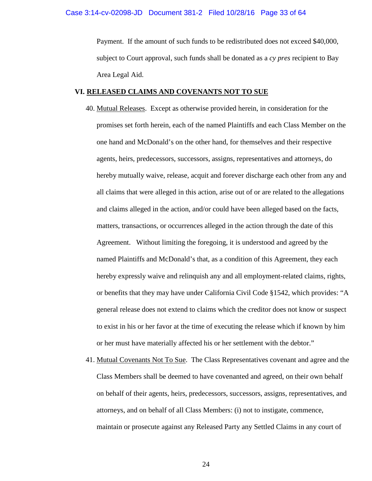Payment. If the amount of such funds to be redistributed does not exceed \$40,000, subject to Court approval, such funds shall be donated as a *cy pres* recipient to Bay Area Legal Aid.

#### **VI. RELEASED CLAIMS AND COVENANTS NOT TO SUE**

- 40. Mutual Releases. Except as otherwise provided herein, in consideration for the promises set forth herein, each of the named Plaintiffs and each Class Member on the one hand and McDonald's on the other hand, for themselves and their respective agents, heirs, predecessors, successors, assigns, representatives and attorneys, do hereby mutually waive, release, acquit and forever discharge each other from any and all claims that were alleged in this action, arise out of or are related to the allegations and claims alleged in the action, and/or could have been alleged based on the facts, matters, transactions, or occurrences alleged in the action through the date of this Agreement. Without limiting the foregoing, it is understood and agreed by the named Plaintiffs and McDonald's that, as a condition of this Agreement, they each hereby expressly waive and relinquish any and all employment-related claims, rights, or benefits that they may have under California Civil Code §1542, which provides: "A general release does not extend to claims which the creditor does not know or suspect to exist in his or her favor at the time of executing the release which if known by him or her must have materially affected his or her settlement with the debtor."
- 41. Mutual Covenants Not To Sue. The Class Representatives covenant and agree and the Class Members shall be deemed to have covenanted and agreed, on their own behalf on behalf of their agents, heirs, predecessors, successors, assigns, representatives, and attorneys, and on behalf of all Class Members: (i) not to instigate, commence, maintain or prosecute against any Released Party any Settled Claims in any court of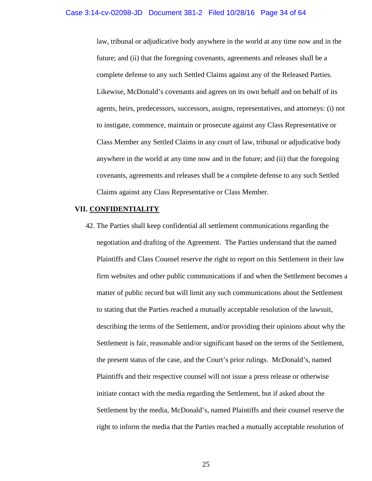law, tribunal or adjudicative body anywhere in the world at any time now and in the future; and (ii) that the foregoing covenants, agreements and releases shall be a complete defense to any such Settled Claims against any of the Released Parties. Likewise, McDonald's covenants and agrees on its own behalf and on behalf of its agents, heirs, predecessors, successors, assigns, representatives, and attorneys: (i) not to instigate, commence, maintain or prosecute against any Class Representative or Class Member any Settled Claims in any court of law, tribunal or adjudicative body anywhere in the world at any time now and in the future; and (ii) that the foregoing covenants, agreements and releases shall be a complete defense to any such Settled Claims against any Class Representative or Class Member.

### **VII. CONFIDENTIALITY**

42. The Parties shall keep confidential all settlement communications regarding the negotiation and drafting of the Agreement. The Parties understand that the named Plaintiffs and Class Counsel reserve the right to report on this Settlement in their law firm websites and other public communications if and when the Settlement becomes a matter of public record but will limit any such communications about the Settlement to stating that the Parties reached a mutually acceptable resolution of the lawsuit, describing the terms of the Settlement, and/or providing their opinions about why the Settlement is fair, reasonable and/or significant based on the terms of the Settlement, the present status of the case, and the Court's prior rulings. McDonald's, named Plaintiffs and their respective counsel will not issue a press release or otherwise initiate contact with the media regarding the Settlement, but if asked about the Settlement by the media, McDonald's, named Plaintiffs and their counsel reserve the right to inform the media that the Parties reached a mutually acceptable resolution of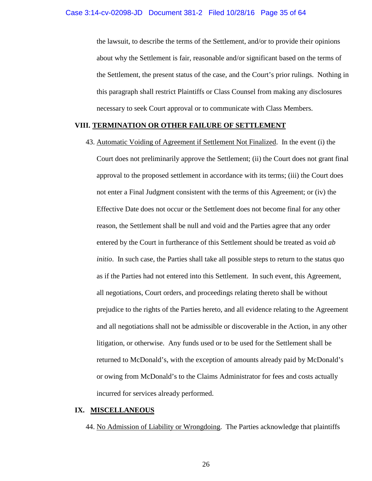the lawsuit, to describe the terms of the Settlement, and/or to provide their opinions about why the Settlement is fair, reasonable and/or significant based on the terms of the Settlement, the present status of the case, and the Court's prior rulings. Nothing in this paragraph shall restrict Plaintiffs or Class Counsel from making any disclosures necessary to seek Court approval or to communicate with Class Members.

#### **VIII. TERMINATION OR OTHER FAILURE OF SETTLEMENT**

43. Automatic Voiding of Agreement if Settlement Not Finalized. In the event (i) the

Court does not preliminarily approve the Settlement; (ii) the Court does not grant final approval to the proposed settlement in accordance with its terms; (iii) the Court does not enter a Final Judgment consistent with the terms of this Agreement; or (iv) the Effective Date does not occur or the Settlement does not become final for any other reason, the Settlement shall be null and void and the Parties agree that any order entered by the Court in furtherance of this Settlement should be treated as void *ab initio*. In such case, the Parties shall take all possible steps to return to the status quo as if the Parties had not entered into this Settlement. In such event, this Agreement, all negotiations, Court orders, and proceedings relating thereto shall be without prejudice to the rights of the Parties hereto, and all evidence relating to the Agreement and all negotiations shall not be admissible or discoverable in the Action, in any other litigation, or otherwise. Any funds used or to be used for the Settlement shall be returned to McDonald's, with the exception of amounts already paid by McDonald's or owing from McDonald's to the Claims Administrator for fees and costs actually incurred for services already performed.

### **IX. MISCELLANEOUS**

44. No Admission of Liability or Wrongdoing. The Parties acknowledge that plaintiffs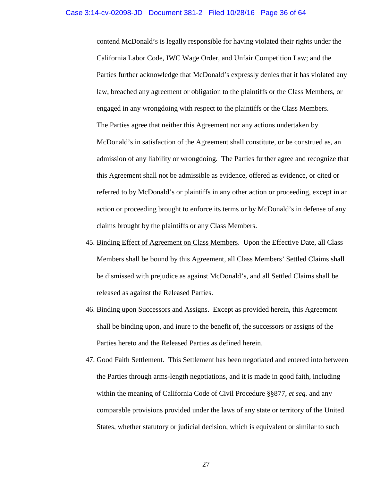contend McDonald's is legally responsible for having violated their rights under the California Labor Code, IWC Wage Order, and Unfair Competition Law; and the Parties further acknowledge that McDonald's expressly denies that it has violated any law, breached any agreement or obligation to the plaintiffs or the Class Members, or engaged in any wrongdoing with respect to the plaintiffs or the Class Members. The Parties agree that neither this Agreement nor any actions undertaken by McDonald's in satisfaction of the Agreement shall constitute, or be construed as, an admission of any liability or wrongdoing. The Parties further agree and recognize that this Agreement shall not be admissible as evidence, offered as evidence, or cited or referred to by McDonald's or plaintiffs in any other action or proceeding, except in an action or proceeding brought to enforce its terms or by McDonald's in defense of any claims brought by the plaintiffs or any Class Members.

- 45. Binding Effect of Agreement on Class Members. Upon the Effective Date, all Class Members shall be bound by this Agreement, all Class Members' Settled Claims shall be dismissed with prejudice as against McDonald's, and all Settled Claims shall be released as against the Released Parties.
- 46. Binding upon Successors and Assigns. Except as provided herein, this Agreement shall be binding upon, and inure to the benefit of, the successors or assigns of the Parties hereto and the Released Parties as defined herein.
- 47. Good Faith Settlement. This Settlement has been negotiated and entered into between the Parties through arms-length negotiations, and it is made in good faith, including within the meaning of California Code of Civil Procedure §§877, *et seq.* and any comparable provisions provided under the laws of any state or territory of the United States, whether statutory or judicial decision, which is equivalent or similar to such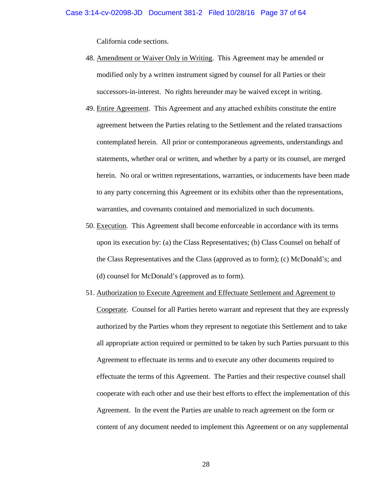California code sections.

- 48. Amendment or Waiver Only in Writing. This Agreement may be amended or modified only by a written instrument signed by counsel for all Parties or their successors-in-interest. No rights hereunder may be waived except in writing.
- 49. Entire Agreement. This Agreement and any attached exhibits constitute the entire agreement between the Parties relating to the Settlement and the related transactions contemplated herein. All prior or contemporaneous agreements, understandings and statements, whether oral or written, and whether by a party or its counsel, are merged herein. No oral or written representations, warranties, or inducements have been made to any party concerning this Agreement or its exhibits other than the representations, warranties, and covenants contained and memorialized in such documents.
- 50. Execution. This Agreement shall become enforceable in accordance with its terms upon its execution by: (a) the Class Representatives; (b) Class Counsel on behalf of the Class Representatives and the Class (approved as to form); (c) McDonald's; and (d) counsel for McDonald's (approved as to form).
- 51. Authorization to Execute Agreement and Effectuate Settlement and Agreement to Cooperate. Counsel for all Parties hereto warrant and represent that they are expressly authorized by the Parties whom they represent to negotiate this Settlement and to take all appropriate action required or permitted to be taken by such Parties pursuant to this Agreement to effectuate its terms and to execute any other documents required to effectuate the terms of this Agreement. The Parties and their respective counsel shall cooperate with each other and use their best efforts to effect the implementation of this Agreement. In the event the Parties are unable to reach agreement on the form or content of any document needed to implement this Agreement or on any supplemental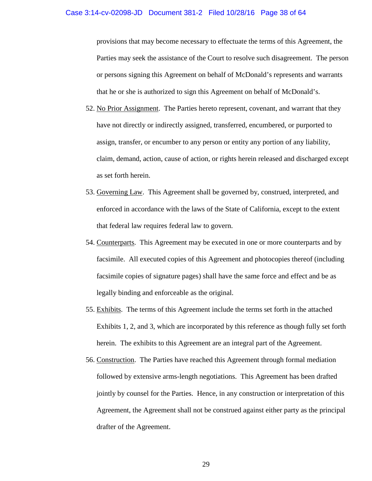#### Case 3:14-cv-02098-JD Document 381-2 Filed 10/28/16 Page 38 of 64

provisions that may become necessary to effectuate the terms of this Agreement, the Parties may seek the assistance of the Court to resolve such disagreement. The person or persons signing this Agreement on behalf of McDonald's represents and warrants that he or she is authorized to sign this Agreement on behalf of McDonald's.

- 52. No Prior Assignment. The Parties hereto represent, covenant, and warrant that they have not directly or indirectly assigned, transferred, encumbered, or purported to assign, transfer, or encumber to any person or entity any portion of any liability, claim, demand, action, cause of action, or rights herein released and discharged except as set forth herein.
- 53. Governing Law. This Agreement shall be governed by, construed, interpreted, and enforced in accordance with the laws of the State of California, except to the extent that federal law requires federal law to govern.
- 54. Counterparts. This Agreement may be executed in one or more counterparts and by facsimile. All executed copies of this Agreement and photocopies thereof (including facsimile copies of signature pages) shall have the same force and effect and be as legally binding and enforceable as the original.
- 55. Exhibits. The terms of this Agreement include the terms set forth in the attached Exhibits 1, 2, and 3, which are incorporated by this reference as though fully set forth herein. The exhibits to this Agreement are an integral part of the Agreement.
- 56. Construction. The Parties have reached this Agreement through formal mediation followed by extensive arms-length negotiations. This Agreement has been drafted jointly by counsel for the Parties. Hence, in any construction or interpretation of this Agreement, the Agreement shall not be construed against either party as the principal drafter of the Agreement.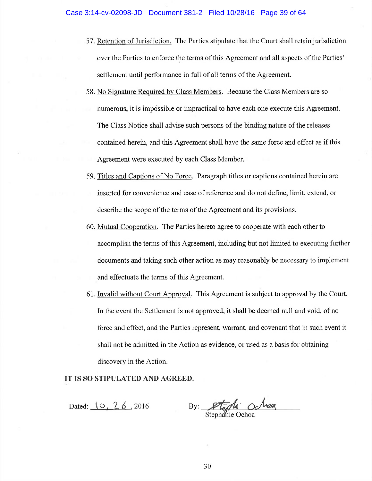- 57. Retention of Jurisdiction. The Parties stipulate that the Court shall retain jurisdiction over the Parties to enforce the terms of this Agreement and all aspects of the Parties' settlement until performance in full of all terms of the Agreement.
- 58. No Signature Required by Class Members. Because the Class Members are so numerous, it is impossible or impractical to have each one execute this Agreement. The Class Notice shall advise such persons of the binding nature of the releases contained herein, and this Agreement shall have the same force and effect as if this Agreement were executed by each Class Member.
- 59. Titles and Captions of No Force. Paragraph titles or captions contained herein are inserted for convenience and ease of reference and do not define, limit, extend, or describe the scope of the terms of the Agreement and its provisions.
- 60. Mutual Cooperation. The Parties hereto agree to cooperate with each other to accomplish the terms of this Agreement, including but not limited to executing further documents and taking such other action as may reasonably be necessary to implement and effectuate the terms of this Agreement.
- 61. Invalid without Court Approval. This Agreement is subject to approval by the Court. In the event the Settlement is not approved, it shall be deemed null and void, of no force and effect, and the Parties represent, warrant, and covenant that in such event it shall not be admitted in the Action as evidence, or used as a basis for obtaining discovery in the Action.

IT IS SO STIPULATED AND AGREED.

Dated: 10, 26, 2016

By: Stephanie Ochoa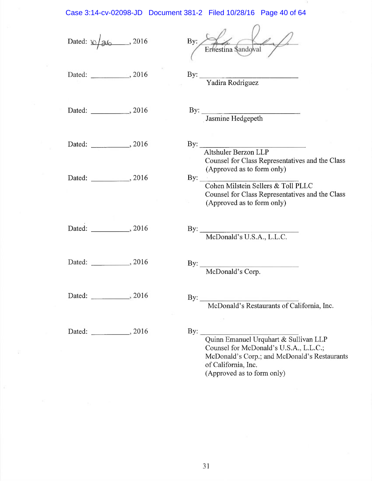# Case 3:14-cv-02098-JD Document 381-2 Filed 10/28/16 Page 40 of 64

| Dated: $\sqrt{26}$ , 2016    | By:<br>Erhestina Sandoval                                                                                                                                                                              |
|------------------------------|--------------------------------------------------------------------------------------------------------------------------------------------------------------------------------------------------------|
| Dated: _______________, 2016 | By: Vadira Rodriguez                                                                                                                                                                                   |
| Dated: _______________, 2016 | By: Jasmine Hedgepeth                                                                                                                                                                                  |
| Dated: _____________, 2016   | By:<br>Altshuler Berzon LLP<br>Counsel for Class Representatives and the Class                                                                                                                         |
| Dated: ____________, 2016    | (Approved as to form only)<br>By: Cohen Milstein Sellers & Toll PLLC<br>Counsel for Class Representatives and the Class<br>(Approved as to form only)                                                  |
| Dated: _____________, 2016   | By: McDonald's U.S.A., L.L.C.                                                                                                                                                                          |
| Dated: _______________, 2016 | By: McDonald's Corp.                                                                                                                                                                                   |
| Dated:<br>, 2016             | $\rm{By:}$<br>McDonald's Restaurants of California, Inc.                                                                                                                                               |
| Dated: _______________, 2016 | $\mathbf{By:}$<br>Quinn Emanuel Urquhart & Sullivan LLP<br>Counsel for McDonald's U.S.A., L.L.C.;<br>McDonald's Corp.; and McDonald's Restaurants<br>of California, Inc.<br>(Approved as to form only) |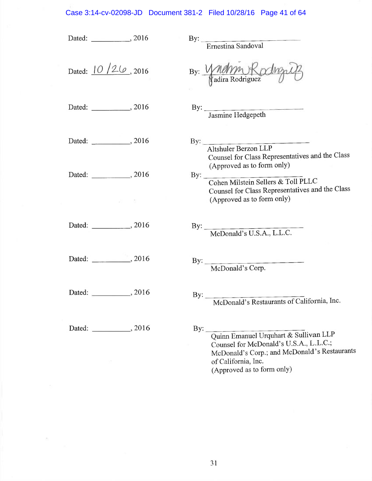## Case 3:14-cv-02098-JD Document 381-2 Filed 10/28/16 Page 41 of 64

| Dated: ______________, 2016               | By: Ernestina Sandoval                                                                                                                                                                                 |
|-------------------------------------------|--------------------------------------------------------------------------------------------------------------------------------------------------------------------------------------------------------|
| Dated: $10/26$ , 2016                     | By: Whating Roding                                                                                                                                                                                     |
| Dated: _____________, 2016                | By: Jasmine Hedgepeth                                                                                                                                                                                  |
| Dated: _____________, 2016                | By: Altshuler Berzon LLP<br>Counsel for Class Representatives and the Class<br>(Approved as to form only)                                                                                              |
| Dated: ______________, 2016<br>1. 180 100 | By: Cohen Milstein Sellers & Toll PLLC<br>Counsel for Class Representatives and the Class<br>(Approved as to form only)                                                                                |
|                                           |                                                                                                                                                                                                        |
| Dated: _______________, 2016              | By: McDonald's U.S.A., L.L.C.                                                                                                                                                                          |
| Dated: ______________, 2016               | By: McDonald's Corp.                                                                                                                                                                                   |
| Dated: ___________, 2016                  | By: McDonald's Restaurants of California, Inc.                                                                                                                                                         |
| Dated: ______________, 2016               | $\mathbf{By:}$<br>Quinn Emanuel Urquhart & Sullivan LLP<br>Counsel for McDonald's U.S.A., L.L.C.;<br>McDonald's Corp.; and McDonald's Restaurants<br>of California, Inc.<br>(Approved as to form only) |

 $\geq$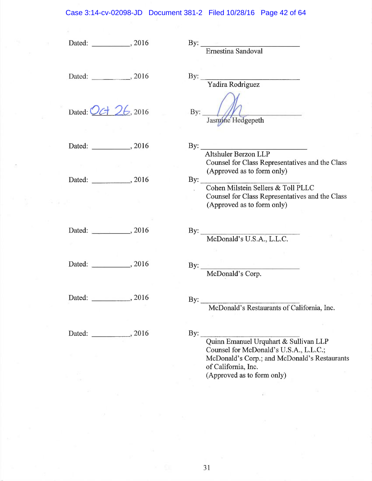## Case 3:14-cv-02098-JD Document 381-2 Filed 10/28/16 Page 42 of 64

| Dated: _____________, 2016  | $\begin{minipage}{0.9\linewidth} \textbf{By:} \begin{tabular}{l} \textbf{Ernestina Sandoval} \end{tabular} \end{minipage} \vspace{0.00000} \begin{tabular}{l} \textbf{Ernestina Sandoval} \end{tabular} \end{minipage} \vspace{0.00000} \begin{tabular}{l} \textbf{Errestina Sandoval} \end{tabular} \end{minipage} \vspace{0.00000} \begin{tabular}{l} \textbf{Errestina Sandoval} \end{tabular} \end{minipage} \caption{Example of the second model.} \label{fig:ex1}$ |
|-----------------------------|--------------------------------------------------------------------------------------------------------------------------------------------------------------------------------------------------------------------------------------------------------------------------------------------------------------------------------------------------------------------------------------------------------------------------------------------------------------------------|
| Dated: ______________, 2016 | By: Vadira Rodriguez                                                                                                                                                                                                                                                                                                                                                                                                                                                     |
| Dated: Oct 26, 2016         | By: $\left  \right $<br>Jasmine Hedgepeth                                                                                                                                                                                                                                                                                                                                                                                                                                |
| Dated: 3016                 | By:<br>Altshuler Berzon LLP<br>Counsel for Class Representatives and the Class                                                                                                                                                                                                                                                                                                                                                                                           |
| Dated: 2016                 | (Approved as to form only)<br>By: Cohen Milstein Sellers & Toll PLLC<br>Counsel for Class Representatives and the Class<br>(Approved as to form only)                                                                                                                                                                                                                                                                                                                    |
|                             | By: McDonald's U.S.A., L.L.C.                                                                                                                                                                                                                                                                                                                                                                                                                                            |
| Dated: _____________, 2016  | By: McDonald's Corp.                                                                                                                                                                                                                                                                                                                                                                                                                                                     |
| Dated: 2016                 | By: McDonald's Restaurants of California, Inc.                                                                                                                                                                                                                                                                                                                                                                                                                           |
| Dated: _____________, 2016  | $\mathbf{By:}$<br>Quinn Emanuel Urquhart & Sullivan LLP<br>Counsel for McDonald's U.S.A., L.L.C.;<br>McDonald's Corp.; and McDonald's Restaurants<br>of California, Inc.                                                                                                                                                                                                                                                                                                 |
|                             | (Approved as to form only)                                                                                                                                                                                                                                                                                                                                                                                                                                               |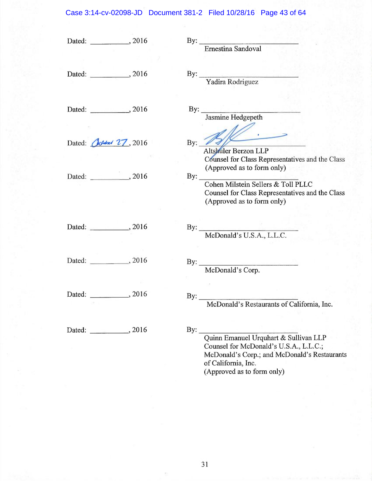## Case 3:14-cv-02098-JD Document 381-2 Filed 10/28/16 Page 43 of 64

|                             |     | By: Ernestina Sandoval                                                        |
|-----------------------------|-----|-------------------------------------------------------------------------------|
|                             |     |                                                                               |
|                             |     |                                                                               |
| Dated: ______________, 2016 |     |                                                                               |
|                             |     | By: Vadira Rodriguez                                                          |
|                             |     |                                                                               |
|                             |     |                                                                               |
|                             |     |                                                                               |
|                             |     | By: Jasmine Hedgepeth                                                         |
|                             |     |                                                                               |
|                             |     |                                                                               |
| Dated: Octobal 27, 2016     | By: |                                                                               |
|                             |     | Altshuler Berzon LLP                                                          |
|                             |     | Counsel for Class Representatives and the Class<br>(Approved as to form only) |
|                             |     |                                                                               |
|                             |     | By: Cohen Milstein Sellers & Toll PLLC                                        |
|                             |     | Counsel for Class Representatives and the Class                               |
|                             |     | (Approved as to form only)                                                    |
|                             |     |                                                                               |
|                             |     |                                                                               |
| Dated: ______________, 2016 |     | By: McDonald's U.S.A., L.L.C.                                                 |
|                             |     |                                                                               |
|                             |     |                                                                               |
| Dated: ______________, 2016 |     |                                                                               |
|                             |     | By: McDonald's Corp.                                                          |
|                             |     |                                                                               |
|                             |     |                                                                               |
| Dated: _____________, 2016  |     | By: $\qquad \qquad$                                                           |
|                             |     | McDonald's Restaurants of California, Inc.                                    |
|                             |     |                                                                               |
|                             |     |                                                                               |
| Dated: 2016                 | By: | Quinn Emanuel Urquhart & Sullivan LLP                                         |
|                             |     | Counsel for McDonald's U.S.A., L.L.C.;                                        |
|                             |     | McDonald's Corp.; and McDonald's Restaurants                                  |
|                             |     | of California, Inc.                                                           |
|                             |     | (Approved as to form only)                                                    |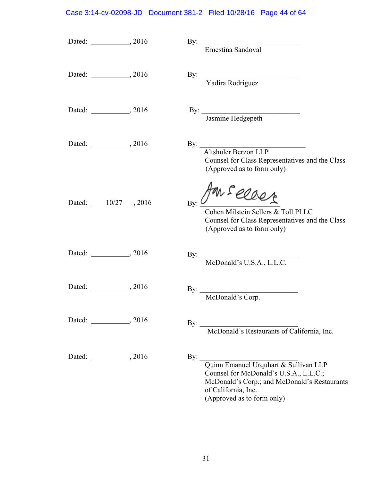## Case 3:14-cv-02098-JD Document 381-2 Filed 10/28/16 Page 44 of 64

|                              | By: Ernestina Sandoval                                                                                                                                                                   |
|------------------------------|------------------------------------------------------------------------------------------------------------------------------------------------------------------------------------------|
| Dated: _______________, 2016 | By: Vadira Rodriguez                                                                                                                                                                     |
|                              | By: Jasmine Hedgepeth                                                                                                                                                                    |
|                              | By:<br>Altshuler Berzon LLP<br>Counsel for Class Representatives and the Class<br>(Approved as to form only)                                                                             |
| Dated: 10/27, 2016           | Am seller<br>Cohen Milstein Sellers & Toll PLLC<br>Counsel for Class Representatives and the Class<br>(Approved as to form only)                                                         |
|                              | By: McDonald's U.S.A., L.L.C.                                                                                                                                                            |
|                              | By: McDonald's Corp.                                                                                                                                                                     |
|                              | By: McDonald's Restaurants of California, Inc.                                                                                                                                           |
|                              | By: Quinn Emanuel Urquhart & Sullivan LLP<br>Counsel for McDonald's U.S.A., L.L.C.;<br>McDonald's Corp.; and McDonald's Restaurants<br>of California, Inc.<br>(Approved as to form only) |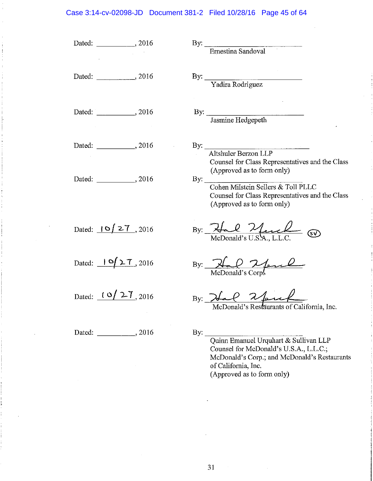#### Case 3:14-cv-02098-JD Document 381-2 Filed 10/28/16 Page 45 of 64